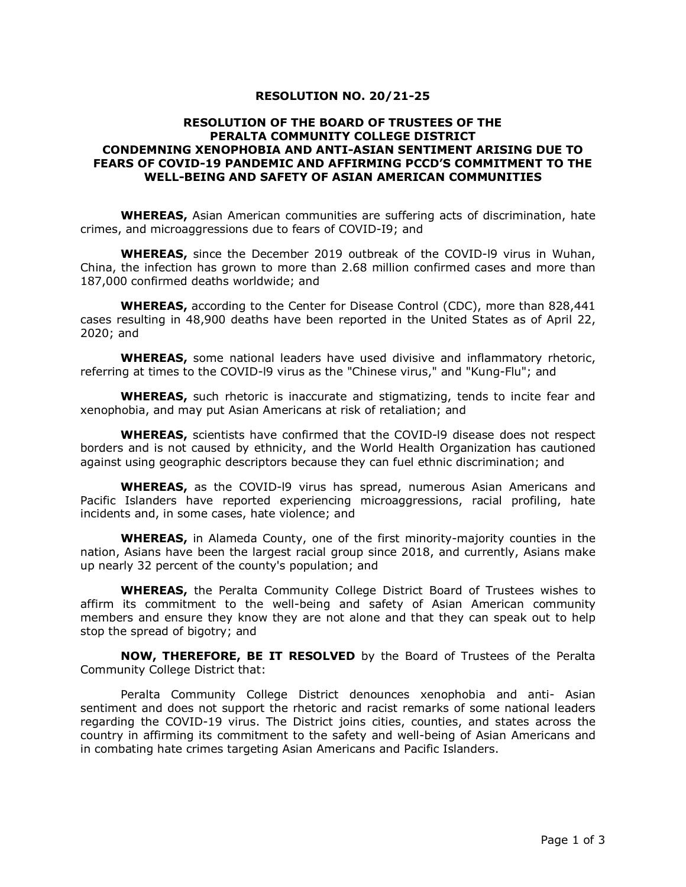## **RESOLUTION NO. 20/21-25**

## **RESOLUTION OF THE BOARD OF TRUSTEES OF THE PERALTA COMMUNITY COLLEGE DISTRICT CONDEMNING XENOPHOBIA AND ANTI-ASIAN SENTIMENT ARISING DUE TO FEARS OF COVID-19 PANDEMIC AND AFFIRMING PCCD'S COMMITMENT TO THE WELL-BEING AND SAFETY OF ASIAN AMERICAN COMMUNITIES**

**WHEREAS,** Asian American communities are suffering acts of discrimination, hate crimes, and microaggressions due to fears of COVID-I9; and

**WHEREAS,** since the December 2019 outbreak of the COVID-l9 virus in Wuhan, China, the infection has grown to more than 2.68 million confirmed cases and more than 187,000 confirmed deaths worldwide; and

**WHEREAS,** according to the Center for Disease Control (CDC), more than 828,441 cases resulting in 48,900 deaths have been reported in the United States as of April 22, 2020; and

**WHEREAS,** some national leaders have used divisive and inflammatory rhetoric, referring at times to the COVID-l9 virus as the "Chinese virus," and "Kung-Flu"; and

**WHEREAS,** such rhetoric is inaccurate and stigmatizing, tends to incite fear and xenophobia, and may put Asian Americans at risk of retaliation; and

**WHEREAS,** scientists have confirmed that the COVID-l9 disease does not respect borders and is not caused by ethnicity, and the World Health Organization has cautioned against using geographic descriptors because they can fuel ethnic discrimination; and

**WHEREAS,** as the COVID-l9 virus has spread, numerous Asian Americans and Pacific Islanders have reported experiencing microaggressions, racial profiling, hate incidents and, in some cases, hate violence; and

**WHEREAS,** in Alameda County, one of the first minority-majority counties in the nation, Asians have been the largest racial group since 2018, and currently, Asians make up nearly 32 percent of the county's population; and

**WHEREAS,** the Peralta Community College District Board of Trustees wishes to affirm its commitment to the well-being and safety of Asian American community members and ensure they know they are not alone and that they can speak out to help stop the spread of bigotry; and

**NOW, THEREFORE, BE IT RESOLVED** by the Board of Trustees of the Peralta Community College District that:

Peralta Community College District denounces xenophobia and anti- Asian sentiment and does not support the rhetoric and racist remarks of some national leaders regarding the COVID-19 virus. The District joins cities, counties, and states across the country in affirming its commitment to the safety and well-being of Asian Americans and in combating hate crimes targeting Asian Americans and Pacific Islanders.